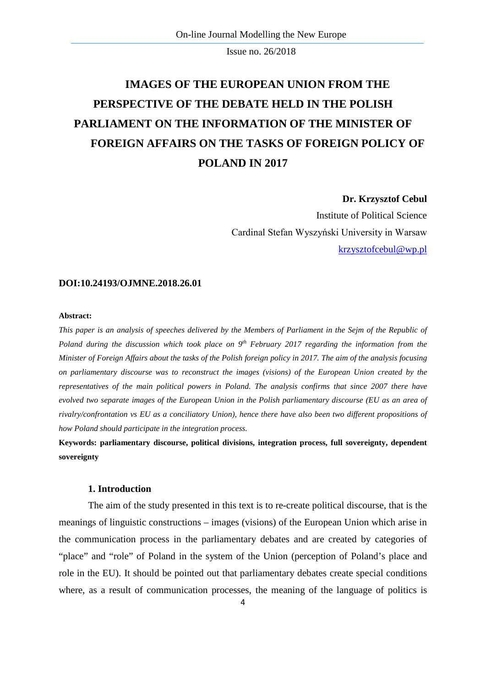# **IMAGES OF THE EUROPEAN UNION FROM THE PERSPECTIVE OF THE DEBATE HELD IN THE POLISH PARLIAMENT ON THE INFORMATION OF THE MINISTER OF FOREIGN AFFAIRS ON THE TASKS OF FOREIGN POLICY OF POLAND IN 2017**

### **Dr. Krzysztof Cebul**

Institute of Political Science Cardinal Stefan Wyszyński University in Warsaw [krzysztofcebul@wp.pl](mailto:krzysztofcebul@wp.pl)

### **DOI:10.24193/OJMNE.2018.26.01**

### **Abstract:**

*This paper is an analysis of speeches delivered by the Members of Parliament in the Sejm of the Republic of Poland during the discussion which took place on 9<sup>th</sup> February 2017 regarding the information from the Minister of Foreign Affairs about the tasks of the Polish foreign policy in 2017. The aim of the analysis focusing on parliamentary discourse was to reconstruct the images (visions) of the European Union created by the representatives of the main political powers in Poland. The analysis confirms that since 2007 there have evolved two separate images of the European Union in the Polish parliamentary discourse (EU as an area of rivalry/confrontation vs EU as a conciliatory Union), hence there have also been two different propositions of how Poland should participate in the integration process.*

**Keywords: parliamentary discourse, political divisions, integration process, full sovereignty, dependent sovereignty**

# **1. Introduction**

The aim of the study presented in this text is to re-create political discourse, that is the meanings of linguistic constructions – images (visions) of the European Union which arise in the communication process in the parliamentary debates and are created by categories of "place" and "role" of Poland in the system of the Union (perception of Poland's place and role in the EU). It should be pointed out that parliamentary debates create special conditions where, as a result of communication processes, the meaning of the language of politics is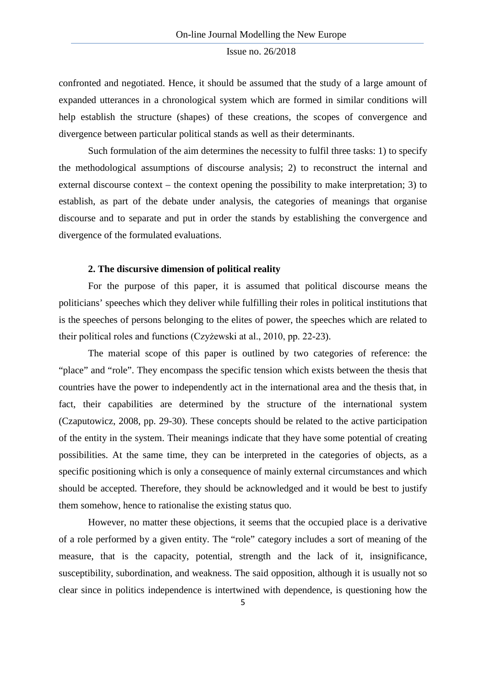confronted and negotiated. Hence, it should be assumed that the study of a large amount of expanded utterances in a chronological system which are formed in similar conditions will help establish the structure (shapes) of these creations, the scopes of convergence and divergence between particular political stands as well as their determinants.

Such formulation of the aim determines the necessity to fulfil three tasks: 1) to specify the methodological assumptions of discourse analysis; 2) to reconstruct the internal and external discourse context – the context opening the possibility to make interpretation; 3) to establish, as part of the debate under analysis, the categories of meanings that organise discourse and to separate and put in order the stands by establishing the convergence and divergence of the formulated evaluations.

### **2. The discursive dimension of political reality**

For the purpose of this paper, it is assumed that political discourse means the politicians' speeches which they deliver while fulfilling their roles in political institutions that is the speeches of persons belonging to the elites of power, the speeches which are related to their political roles and functions (Czyżewski at al., 2010, pp. 22-23).

The material scope of this paper is outlined by two categories of reference: the "place" and "role". They encompass the specific tension which exists between the thesis that countries have the power to independently act in the international area and the thesis that, in fact, their capabilities are determined by the structure of the international system (Czaputowicz, 2008, pp. 29-30). These concepts should be related to the active participation of the entity in the system. Their meanings indicate that they have some potential of creating possibilities. At the same time, they can be interpreted in the categories of objects, as a specific positioning which is only a consequence of mainly external circumstances and which should be accepted. Therefore, they should be acknowledged and it would be best to justify them somehow, hence to rationalise the existing status quo.

However, no matter these objections, it seems that the occupied place is a derivative of a role performed by a given entity. The "role" category includes a sort of meaning of the measure, that is the capacity, potential, strength and the lack of it, insignificance, susceptibility, subordination, and weakness. The said opposition, although it is usually not so clear since in politics independence is intertwined with dependence, is questioning how the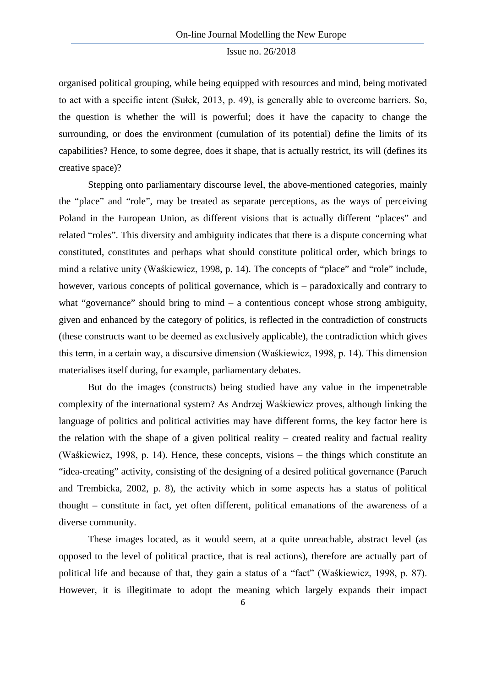organised political grouping, while being equipped with resources and mind, being motivated to act with a specific intent (Sułek, 2013, p. 49), is generally able to overcome barriers. So, the question is whether the will is powerful; does it have the capacity to change the surrounding, or does the environment (cumulation of its potential) define the limits of its capabilities? Hence, to some degree, does it shape, that is actually restrict, its will (defines its creative space)?

Stepping onto parliamentary discourse level, the above-mentioned categories, mainly the "place" and "role", may be treated as separate perceptions, as the ways of perceiving Poland in the European Union, as different visions that is actually different "places" and related "roles". This diversity and ambiguity indicates that there is a dispute concerning what constituted, constitutes and perhaps what should constitute political order, which brings to mind a relative unity (Waśkiewicz, 1998, p. 14). The concepts of "place" and "role" include, however, various concepts of political governance, which is – paradoxically and contrary to what "governance" should bring to mind – a contentious concept whose strong ambiguity, given and enhanced by the category of politics, is reflected in the contradiction of constructs (these constructs want to be deemed as exclusively applicable), the contradiction which gives this term, in a certain way, a discursive dimension (Waśkiewicz, 1998, p. 14). This dimension materialises itself during, for example, parliamentary debates.

But do the images (constructs) being studied have any value in the impenetrable complexity of the international system? As Andrzej Waśkiewicz proves, although linking the language of politics and political activities may have different forms, the key factor here is the relation with the shape of a given political reality – created reality and factual reality (Waśkiewicz, 1998, p. 14). Hence, these concepts, visions – the things which constitute an "idea-creating" activity, consisting of the designing of a desired political governance (Paruch and Trembicka, 2002, p. 8), the activity which in some aspects has a status of political thought – constitute in fact, yet often different, political emanations of the awareness of a diverse community.

These images located, as it would seem, at a quite unreachable, abstract level (as opposed to the level of political practice, that is real actions), therefore are actually part of political life and because of that, they gain a status of a "fact" (Waśkiewicz, 1998, p. 87). However, it is illegitimate to adopt the meaning which largely expands their impact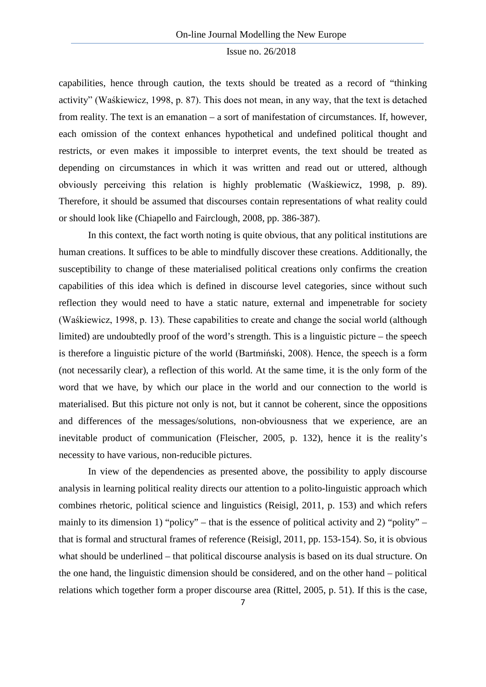capabilities, hence through caution, the texts should be treated as a record of "thinking activity" (Waśkiewicz, 1998, p. 87). This does not mean, in any way, that the text is detached from reality. The text is an emanation – a sort of manifestation of circumstances. If, however, each omission of the context enhances hypothetical and undefined political thought and restricts, or even makes it impossible to interpret events, the text should be treated as depending on circumstances in which it was written and read out or uttered, although obviously perceiving this relation is highly problematic (Waśkiewicz, 1998, p. 89). Therefore, it should be assumed that discourses contain representations of what reality could or should look like (Chiapello and Fairclough, 2008, pp. 386-387).

In this context, the fact worth noting is quite obvious, that any political institutions are human creations. It suffices to be able to mindfully discover these creations. Additionally, the susceptibility to change of these materialised political creations only confirms the creation capabilities of this idea which is defined in discourse level categories, since without such reflection they would need to have a static nature, external and impenetrable for society (Waśkiewicz, 1998, p. 13). These capabilities to create and change the social world (although limited) are undoubtedly proof of the word's strength. This is a linguistic picture – the speech is therefore a linguistic picture of the world (Bartmiński, 2008). Hence, the speech is a form (not necessarily clear), a reflection of this world. At the same time, it is the only form of the word that we have, by which our place in the world and our connection to the world is materialised. But this picture not only is not, but it cannot be coherent, since the oppositions and differences of the messages/solutions, non-obviousness that we experience, are an inevitable product of communication (Fleischer, 2005, p. 132), hence it is the reality's necessity to have various, non-reducible pictures.

In view of the dependencies as presented above, the possibility to apply discourse analysis in learning political reality directs our attention to a polito-linguistic approach which combines rhetoric, political science and linguistics (Reisigl, 2011, p. 153) and which refers mainly to its dimension 1) "policy" – that is the essence of political activity and 2) "polity" – that is formal and structural frames of reference (Reisigl, 2011, pp. 153-154). So, it is obvious what should be underlined – that political discourse analysis is based on its dual structure. On the one hand, the linguistic dimension should be considered, and on the other hand – political relations which together form a proper discourse area (Rittel, 2005, p. 51). If this is the case,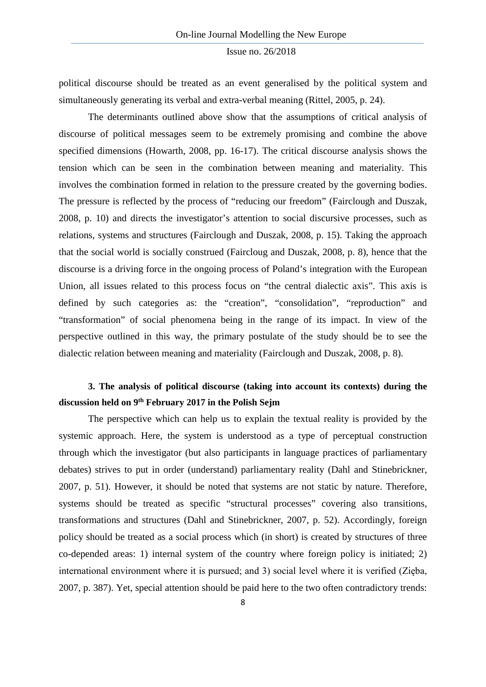political discourse should be treated as an event generalised by the political system and simultaneously generating its verbal and extra-verbal meaning (Rittel, 2005, p. 24).

The determinants outlined above show that the assumptions of critical analysis of discourse of political messages seem to be extremely promising and combine the above specified dimensions (Howarth, 2008, pp. 16-17). The critical discourse analysis shows the tension which can be seen in the combination between meaning and materiality. This involves the combination formed in relation to the pressure created by the governing bodies. The pressure is reflected by the process of "reducing our freedom" (Fairclough and Duszak, 2008, p. 10) and directs the investigator's attention to social discursive processes, such as relations, systems and structures (Fairclough and Duszak, 2008, p. 15). Taking the approach that the social world is socially construed (Faircloug and Duszak, 2008, p. 8), hence that the discourse is a driving force in the ongoing process of Poland's integration with the European Union, all issues related to this process focus on "the central dialectic axis". This axis is defined by such categories as: the "creation", "consolidation", "reproduction" and "transformation" of social phenomena being in the range of its impact. In view of the perspective outlined in this way, the primary postulate of the study should be to see the dialectic relation between meaning and materiality (Fairclough and Duszak, 2008, p. 8).

# **3. The analysis of political discourse (taking into account its contexts) during the discussion held on 9th February 2017 in the Polish Sejm**

The perspective which can help us to explain the textual reality is provided by the systemic approach. Here, the system is understood as a type of perceptual construction through which the investigator (but also participants in language practices of parliamentary debates) strives to put in order (understand) parliamentary reality (Dahl and Stinebrickner, 2007, p. 51). However, it should be noted that systems are not static by nature. Therefore, systems should be treated as specific "structural processes" covering also transitions, transformations and structures (Dahl and Stinebrickner, 2007, p. 52). Accordingly, foreign policy should be treated as a social process which (in short) is created by structures of three co-depended areas: 1) internal system of the country where foreign policy is initiated; 2) international environment where it is pursued; and 3) social level where it is verified (Zięba, 2007, p. 387). Yet, special attention should be paid here to the two often contradictory trends: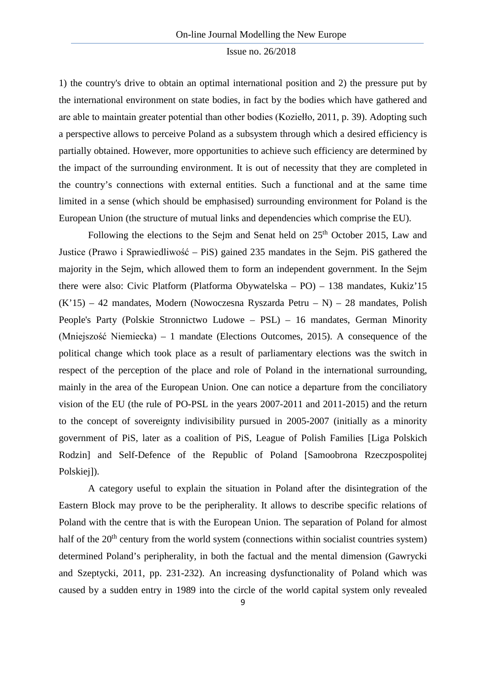1) the country's drive to obtain an optimal international position and 2) the pressure put by the international environment on state bodies, in fact by the bodies which have gathered and are able to maintain greater potential than other bodies (Koziełło, 2011, p. 39). Adopting such a perspective allows to perceive Poland as a subsystem through which a desired efficiency is partially obtained. However, more opportunities to achieve such efficiency are determined by the impact of the surrounding environment. It is out of necessity that they are completed in the country's connections with external entities. Such a functional and at the same time limited in a sense (which should be emphasised) surrounding environment for Poland is the European Union (the structure of mutual links and dependencies which comprise the EU).

Following the elections to the Sejm and Senat held on  $25<sup>th</sup>$  October 2015, Law and Justice (Prawo i Sprawiedliwość – PiS) gained 235 mandates in the Sejm. PiS gathered the majority in the Sejm, which allowed them to form an independent government. In the Sejm there were also: Civic Platform (Platforma Obywatelska – PO) – 138 mandates, Kukiz'15 (K'15) – 42 mandates, Modern (Nowoczesna Ryszarda Petru – N) – 28 mandates, Polish People's Party (Polskie Stronnictwo Ludowe – PSL) – 16 mandates, German Minority (Mniejszość Niemiecka) – 1 mandate (Elections Outcomes, 2015). A consequence of the political change which took place as a result of parliamentary elections was the switch in respect of the perception of the place and role of Poland in the international surrounding, mainly in the area of the European Union. One can notice a departure from the conciliatory vision of the EU (the rule of PO-PSL in the years 2007-2011 and 2011-2015) and the return to the concept of sovereignty indivisibility pursued in 2005-2007 (initially as a minority government of PiS, later as a coalition of PiS, League of Polish Families [Liga Polskich Rodzin] and Self-Defence of the Republic of Poland [Samoobrona Rzeczpospolitej Polskiej<sub>1</sub>).

A category useful to explain the situation in Poland after the disintegration of the Eastern Block may prove to be the peripherality. It allows to describe specific relations of Poland with the centre that is with the European Union. The separation of Poland for almost half of the  $20<sup>th</sup>$  century from the world system (connections within socialist countries system) determined Poland's peripherality, in both the factual and the mental dimension (Gawrycki and Szeptycki, 2011, pp. 231-232). An increasing dysfunctionality of Poland which was caused by a sudden entry in 1989 into the circle of the world capital system only revealed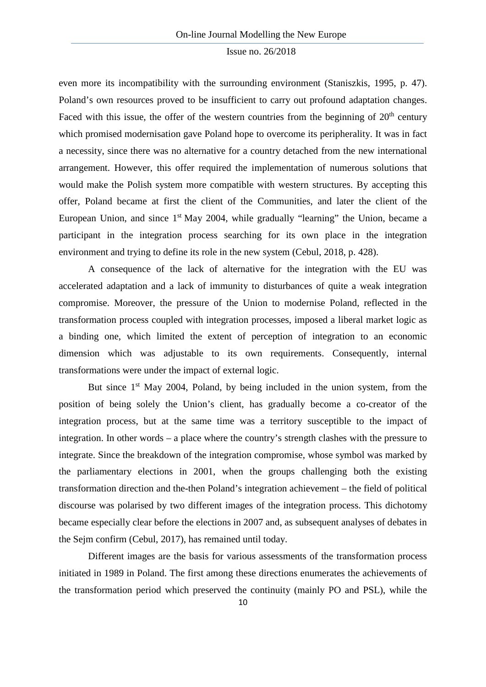even more its incompatibility with the surrounding environment (Staniszkis, 1995, p. 47). Poland's own resources proved to be insufficient to carry out profound adaptation changes. Faced with this issue, the offer of the western countries from the beginning of  $20<sup>th</sup>$  century which promised modernisation gave Poland hope to overcome its peripherality. It was in fact a necessity, since there was no alternative for a country detached from the new international arrangement. However, this offer required the implementation of numerous solutions that would make the Polish system more compatible with western structures. By accepting this offer, Poland became at first the client of the Communities, and later the client of the European Union, and since  $1<sup>st</sup>$  May 2004, while gradually "learning" the Union, became a participant in the integration process searching for its own place in the integration environment and trying to define its role in the new system (Cebul, 2018, p. 428).

A consequence of the lack of alternative for the integration with the EU was accelerated adaptation and a lack of immunity to disturbances of quite a weak integration compromise. Moreover, the pressure of the Union to modernise Poland, reflected in the transformation process coupled with integration processes, imposed a liberal market logic as a binding one, which limited the extent of perception of integration to an economic dimension which was adjustable to its own requirements. Consequently, internal transformations were under the impact of external logic.

But since  $1<sup>st</sup>$  May 2004, Poland, by being included in the union system, from the position of being solely the Union's client, has gradually become a co-creator of the integration process, but at the same time was a territory susceptible to the impact of integration. In other words – a place where the country's strength clashes with the pressure to integrate. Since the breakdown of the integration compromise, whose symbol was marked by the parliamentary elections in 2001, when the groups challenging both the existing transformation direction and the-then Poland's integration achievement – the field of political discourse was polarised by two different images of the integration process. This dichotomy became especially clear before the elections in 2007 and, as subsequent analyses of debates in the Sejm confirm (Cebul, 2017), has remained until today.

Different images are the basis for various assessments of the transformation process initiated in 1989 in Poland. The first among these directions enumerates the achievements of the transformation period which preserved the continuity (mainly PO and PSL), while the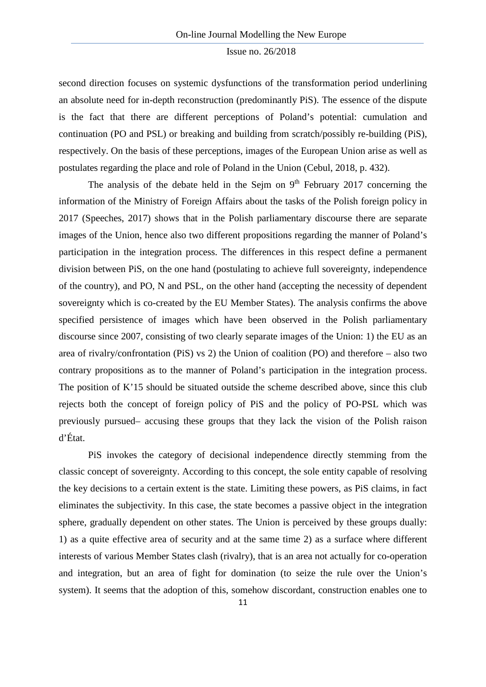second direction focuses on systemic dysfunctions of the transformation period underlining an absolute need for in-depth reconstruction (predominantly PiS). The essence of the dispute is the fact that there are different perceptions of Poland's potential: cumulation and continuation (PO and PSL) or breaking and building from scratch/possibly re-building (PiS), respectively. On the basis of these perceptions, images of the European Union arise as well as postulates regarding the place and role of Poland in the Union (Cebul, 2018, p. 432).

The analysis of the debate held in the Sejm on  $9<sup>th</sup>$  February 2017 concerning the information of the Ministry of Foreign Affairs about the tasks of the Polish foreign policy in 2017 (Speeches, 2017) shows that in the Polish parliamentary discourse there are separate images of the Union, hence also two different propositions regarding the manner of Poland's participation in the integration process. The differences in this respect define a permanent division between PiS, on the one hand (postulating to achieve full sovereignty, independence of the country), and PO, N and PSL, on the other hand (accepting the necessity of dependent sovereignty which is co-created by the EU Member States). The analysis confirms the above specified persistence of images which have been observed in the Polish parliamentary discourse since 2007, consisting of two clearly separate images of the Union: 1) the EU as an area of rivalry/confrontation (PiS) vs 2) the Union of coalition (PO) and therefore – also two contrary propositions as to the manner of Poland's participation in the integration process. The position of K'15 should be situated outside the scheme described above, since this club rejects both the concept of foreign policy of PiS and the policy of PO-PSL which was previously pursued– accusing these groups that they lack the vision of the Polish raison d'État.

PiS invokes the category of decisional independence directly stemming from the classic concept of sovereignty. According to this concept, the sole entity capable of resolving the key decisions to a certain extent is the state. Limiting these powers, as PiS claims, in fact eliminates the subjectivity. In this case, the state becomes a passive object in the integration sphere, gradually dependent on other states. The Union is perceived by these groups dually: 1) as a quite effective area of security and at the same time 2) as a surface where different interests of various Member States clash (rivalry), that is an area not actually for co-operation and integration, but an area of fight for domination (to seize the rule over the Union's system). It seems that the adoption of this, somehow discordant, construction enables one to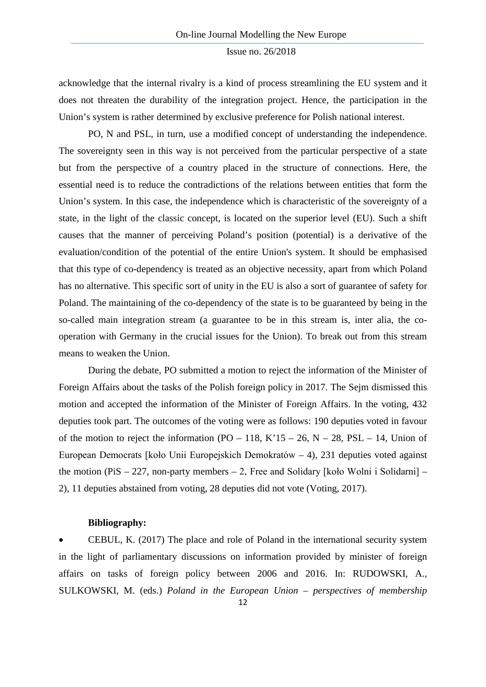acknowledge that the internal rivalry is a kind of process streamlining the EU system and it does not threaten the durability of the integration project. Hence, the participation in the Union's system is rather determined by exclusive preference for Polish national interest.

PO, N and PSL, in turn, use a modified concept of understanding the independence. The sovereignty seen in this way is not perceived from the particular perspective of a state but from the perspective of a country placed in the structure of connections. Here, the essential need is to reduce the contradictions of the relations between entities that form the Union's system. In this case, the independence which is characteristic of the sovereignty of a state, in the light of the classic concept, is located on the superior level (EU). Such a shift causes that the manner of perceiving Poland's position (potential) is a derivative of the evaluation/condition of the potential of the entire Union's system. It should be emphasised that this type of co-dependency is treated as an objective necessity, apart from which Poland has no alternative. This specific sort of unity in the EU is also a sort of guarantee of safety for Poland. The maintaining of the co-dependency of the state is to be guaranteed by being in the so-called main integration stream (a guarantee to be in this stream is, inter alia, the cooperation with Germany in the crucial issues for the Union). To break out from this stream means to weaken the Union.

During the debate, PO submitted a motion to reject the information of the Minister of Foreign Affairs about the tasks of the Polish foreign policy in 2017. The Sejm dismissed this motion and accepted the information of the Minister of Foreign Affairs. In the voting, 432 deputies took part. The outcomes of the voting were as follows: 190 deputies voted in favour of the motion to reject the information  $(PO - 118, K'15 - 26, N - 28, PSL - 14, Union of$ European Democrats [koło Unii Europejskich Demokratów – 4), 231 deputies voted against the motion (PiS – 227, non-party members – 2, Free and Solidary [koło Wolni i Solidarni] – 2), 11 deputies abstained from voting, 28 deputies did not vote (Voting, 2017).

### **Bibliography:**

• CEBUL, K. (2017) The place and role of Poland in the international security system in the light of parliamentary discussions on information provided by minister of foreign affairs on tasks of foreign policy between 2006 and 2016. In: RUDOWSKI, A., SULKOWSKI, M. (eds.) *Poland in the European Union – perspectives of membership*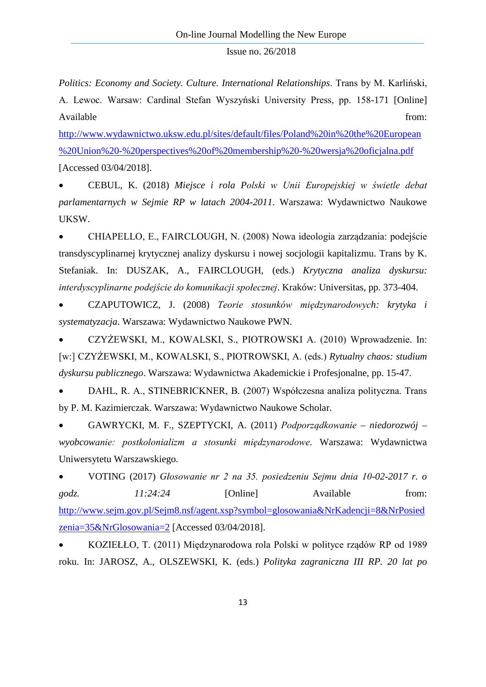*Politics: Economy and Society. Culture. International Relationships*. Trans by M. Karliński, A. Lewoc. Warsaw: Cardinal Stefan Wyszyński University Press, pp. 158-171 [Online] Available from:  $\blacksquare$ 

[http://www.wydawnictwo.uksw.edu.pl/sites/default/files/Poland%20in%20the%20European](http://www.wydawnictwo.uksw.edu.pl/sites/default/files/Poland%20in%20the%20European%20Union%20-%20perspectives%20of%20membership%20-%20wersja%20oficjalna.pdf) [%20Union%20-%20perspectives%20of%20membership%20-%20wersja%20oficjalna.pdf](http://www.wydawnictwo.uksw.edu.pl/sites/default/files/Poland%20in%20the%20European%20Union%20-%20perspectives%20of%20membership%20-%20wersja%20oficjalna.pdf) [Accessed 03/04/2018].

• CEBUL, K. (2018) *Miejsce i rola Polski w Unii Europejskiej w świetle debat parlamentarnych w Sejmie RP w latach 2004-2011*. Warszawa: Wydawnictwo Naukowe UKSW.

• CHIAPELLO, E., FAIRCLOUGH, N. (2008) Nowa ideologia zarządzania: podejście transdyscyplinarnej krytycznej analizy dyskursu i nowej socjologii kapitalizmu. Trans by K. Stefaniak. In: DUSZAK, A., FAIRCLOUGH, (eds.) *Krytyczna analiza dyskursu: interdyscyplinarne podejście do komunikacji społecznej*. Kraków: Universitas, pp. 373-404.

• CZAPUTOWICZ, J. (2008) *Teorie stosunków międzynarodowych: krytyka i systematyzacja*. Warszawa: Wydawnictwo Naukowe PWN.

• CZYŻEWSKI, M., KOWALSKI, S., PIOTROWSKI A. (2010) Wprowadzenie. In: [w:] CZYŻEWSKI, M., KOWALSKI, S., PIOTROWSKI, A. (eds.) *Rytualny chaos: studium dyskursu publicznego*. Warszawa: Wydawnictwa Akademickie i Profesjonalne, pp. 15-47.

• DAHL, R. A., STINEBRICKNER, B. (2007) Współczesna analiza polityczna. Trans by P. M. Kazimierczak. Warszawa: Wydawnictwo Naukowe Scholar.

• GAWRYCKI, M. F., SZEPTYCKI, A. (2011) *Podporządkowanie – niedorozwój – wyobcowanie: postkolonializm a stosunki międzynarodowe*. Warszawa: Wydawnictwa Uniwersytetu Warszawskiego.

• VOTING (2017) *Głosowanie nr 2 na 35. posiedzeniu Sejmu dnia 10-02-2017 r. o godz. 11:24:24* [Online] Available from: [http://www.sejm.gov.pl/Sejm8.nsf/agent.xsp?symbol=glosowania&NrKadencji=8&NrPosied](http://www.sejm.gov.pl/Sejm8.nsf/agent.xsp?symbol=glosowania&NrKadencji=8&NrPosiedzenia=35&NrGlosowania=2) [zenia=35&NrGlosowania=2](http://www.sejm.gov.pl/Sejm8.nsf/agent.xsp?symbol=glosowania&NrKadencji=8&NrPosiedzenia=35&NrGlosowania=2) [Accessed 03/04/2018].

• KOZIEŁŁO, T. (2011) Międzynarodowa rola Polski w polityce rządów RP od 1989 roku. In: JAROSZ, A., OLSZEWSKI, K. (eds.) *Polityka zagraniczna III RP. 20 lat po*